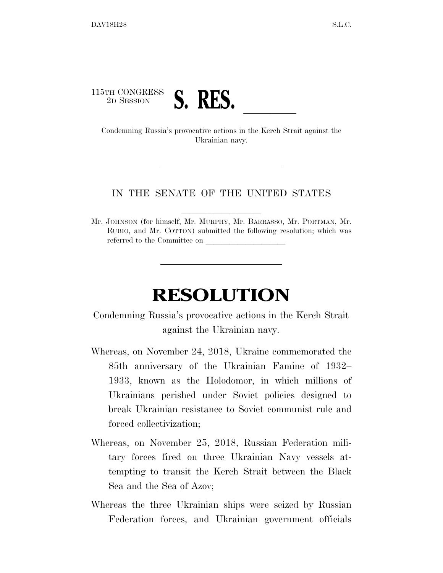

Ukrainian navy.

## IN THE SENATE OF THE UNITED STATES

Mr. JOHNSON (for himself, Mr. MURPHY, Mr. BARRASSO, Mr. PORTMAN, Mr. RUBIO, and Mr. COTTON) submitted the following resolution; which was referred to the Committee on

## **RESOLUTION**

## Condemning Russia's provocative actions in the Kerch Strait against the Ukrainian navy.

- Whereas, on November 24, 2018, Ukraine commemorated the 85th anniversary of the Ukrainian Famine of 1932– 1933, known as the Holodomor, in which millions of Ukrainians perished under Soviet policies designed to break Ukrainian resistance to Soviet communist rule and forced collectivization;
- Whereas, on November 25, 2018, Russian Federation military forces fired on three Ukrainian Navy vessels attempting to transit the Kerch Strait between the Black Sea and the Sea of Azov;
- Whereas the three Ukrainian ships were seized by Russian Federation forces, and Ukrainian government officials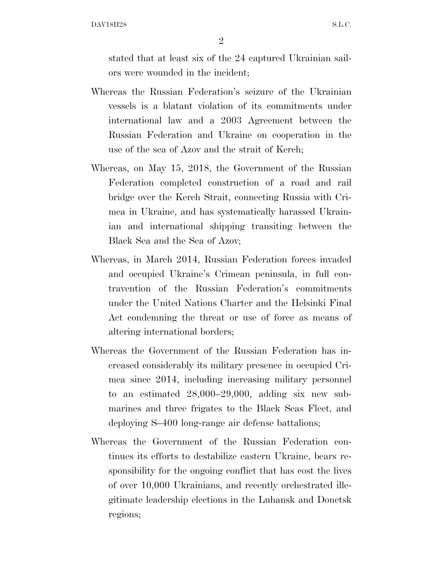DAV18H28 S.L.C.

2

stated that at least six of the 24 captured Ukrainian sailors were wounded in the incident;

- Whereas the Russian Federation's seizure of the Ukrainian vessels is a blatant violation of its commitments under international law and a 2003 Agreement between the Russian Federation and Ukraine on cooperation in the use of the sea of Azov and the strait of Kerch;
- Whereas, on May 15, 2018, the Government of the Russian Federation completed construction of a road and rail bridge over the Kerch Strait, connecting Russia with Crimea in Ukraine, and has systematically harassed Ukrainian and international shipping transiting between the Black Sea and the Sea of Azov;
- Whereas, in March 2014, Russian Federation forces invaded and occupied Ukraine's Crimean peninsula, in full contravention of the Russian Federation's commitments under the United Nations Charter and the Helsinki Final Act condemning the threat or use of force as means of altering international borders;
- Whereas the Government of the Russian Federation has increased considerably its military presence in occupied Crimea since 2014, including increasing military personnel to an estimated 28,000–29,000, adding six new submarines and three frigates to the Black Seas Fleet, and deploying S–400 long-range air defense battalions;
- Whereas the Government of the Russian Federation continues its efforts to destabilize eastern Ukraine, bears responsibility for the ongoing conflict that has cost the lives of over 10,000 Ukrainians, and recently orchestrated illegitimate leadership elections in the Luhansk and Donetsk regions;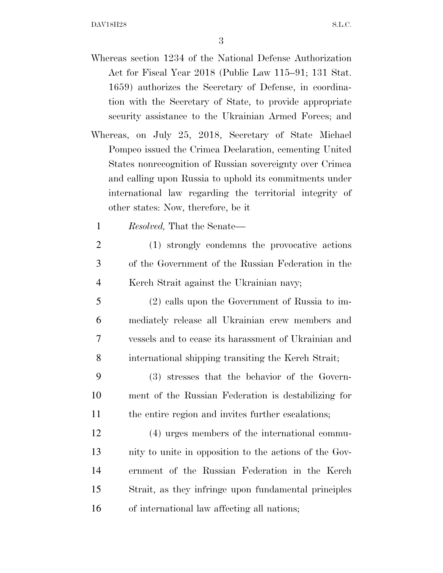3

- Whereas section 1234 of the National Defense Authorization Act for Fiscal Year 2018 (Public Law 115–91; 131 Stat. 1659) authorizes the Secretary of Defense, in coordination with the Secretary of State, to provide appropriate security assistance to the Ukrainian Armed Forces; and
- Whereas, on July 25, 2018, Secretary of State Michael Pompeo issued the Crimea Declaration, cementing United States nonrecognition of Russian sovereignty over Crimea and calling upon Russia to uphold its commitments under international law regarding the territorial integrity of other states: Now, therefore, be it
	- 1 *Resolved,* That the Senate—
	- 2 (1) strongly condemns the provocative actions 3 of the Government of the Russian Federation in the 4 Kerch Strait against the Ukrainian navy;
	- 5 (2) calls upon the Government of Russia to im-6 mediately release all Ukrainian crew members and 7 vessels and to cease its harassment of Ukrainian and 8 international shipping transiting the Kerch Strait;
- 9 (3) stresses that the behavior of the Govern-10 ment of the Russian Federation is destabilizing for 11 the entire region and invites further escalations;
- 12 (4) urges members of the international commu-13 nity to unite in opposition to the actions of the Gov-14 ernment of the Russian Federation in the Kerch 15 Strait, as they infringe upon fundamental principles 16 of international law affecting all nations;